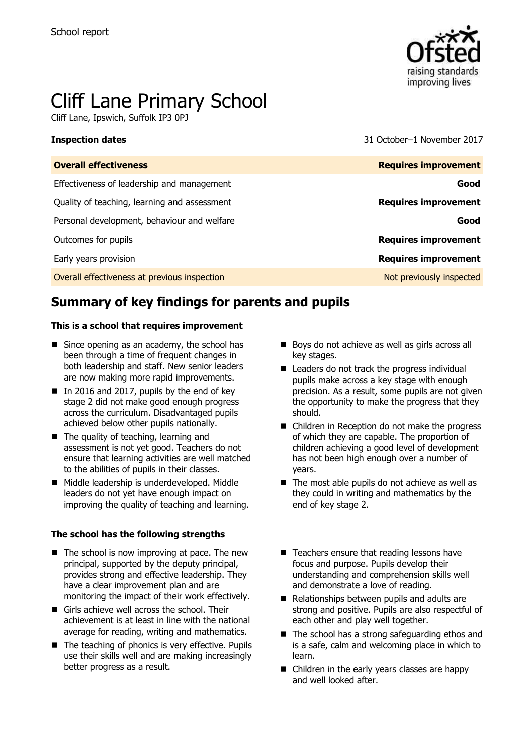

# Cliff Lane Primary School

Cliff Lane, Ipswich, Suffolk IP3 0PJ

**Inspection dates** 31 October–1 November 2017

| <b>Requires improvement</b> |
|-----------------------------|
| Good                        |
| <b>Requires improvement</b> |
| Good                        |
| <b>Requires improvement</b> |
| <b>Requires improvement</b> |
| Not previously inspected    |
|                             |

# **Summary of key findings for parents and pupils**

#### **This is a school that requires improvement**

- $\blacksquare$  Since opening as an academy, the school has been through a time of frequent changes in both leadership and staff. New senior leaders are now making more rapid improvements.
- In 2016 and 2017, pupils by the end of key stage 2 did not make good enough progress across the curriculum. Disadvantaged pupils achieved below other pupils nationally.
- The quality of teaching, learning and assessment is not yet good. Teachers do not ensure that learning activities are well matched to the abilities of pupils in their classes.
- Middle leadership is underdeveloped. Middle leaders do not yet have enough impact on improving the quality of teaching and learning.

#### **The school has the following strengths**

- $\blacksquare$  The school is now improving at pace. The new principal, supported by the deputy principal, provides strong and effective leadership. They have a clear improvement plan and are monitoring the impact of their work effectively.
- Girls achieve well across the school. Their achievement is at least in line with the national average for reading, writing and mathematics.
- The teaching of phonics is very effective. Pupils use their skills well and are making increasingly better progress as a result.
- Boys do not achieve as well as girls across all key stages.
- $\blacksquare$  Leaders do not track the progress individual pupils make across a key stage with enough precision. As a result, some pupils are not given the opportunity to make the progress that they should.
- Children in Reception do not make the progress of which they are capable. The proportion of children achieving a good level of development has not been high enough over a number of years.
- $\blacksquare$  The most able pupils do not achieve as well as they could in writing and mathematics by the end of key stage 2.
- $\blacksquare$  Teachers ensure that reading lessons have focus and purpose. Pupils develop their understanding and comprehension skills well and demonstrate a love of reading.
- Relationships between pupils and adults are strong and positive. Pupils are also respectful of each other and play well together.
- The school has a strong safeguarding ethos and is a safe, calm and welcoming place in which to learn.
- Children in the early years classes are happy and well looked after.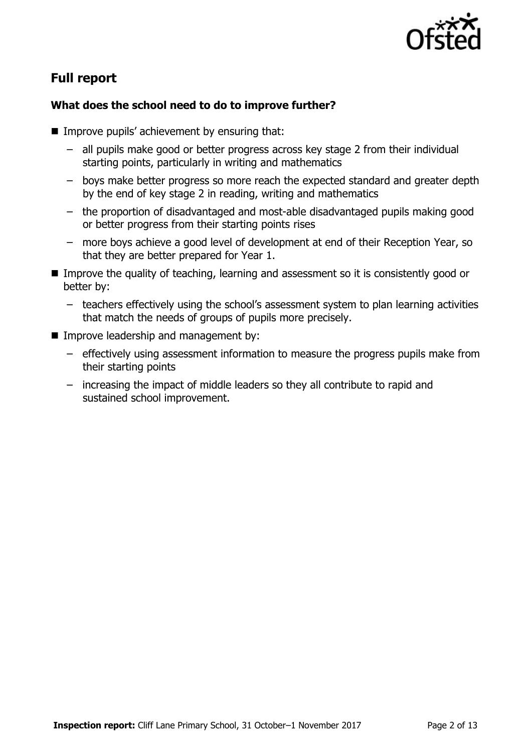

# **Full report**

### **What does the school need to do to improve further?**

- $\blacksquare$  Improve pupils' achievement by ensuring that:
	- all pupils make good or better progress across key stage 2 from their individual starting points, particularly in writing and mathematics
	- boys make better progress so more reach the expected standard and greater depth by the end of key stage 2 in reading, writing and mathematics
	- the proportion of disadvantaged and most-able disadvantaged pupils making good or better progress from their starting points rises
	- more boys achieve a good level of development at end of their Reception Year, so that they are better prepared for Year 1.
- Improve the quality of teaching, learning and assessment so it is consistently good or better by:
	- teachers effectively using the school's assessment system to plan learning activities that match the needs of groups of pupils more precisely.
- **Improve leadership and management by:** 
	- effectively using assessment information to measure the progress pupils make from their starting points
	- increasing the impact of middle leaders so they all contribute to rapid and sustained school improvement.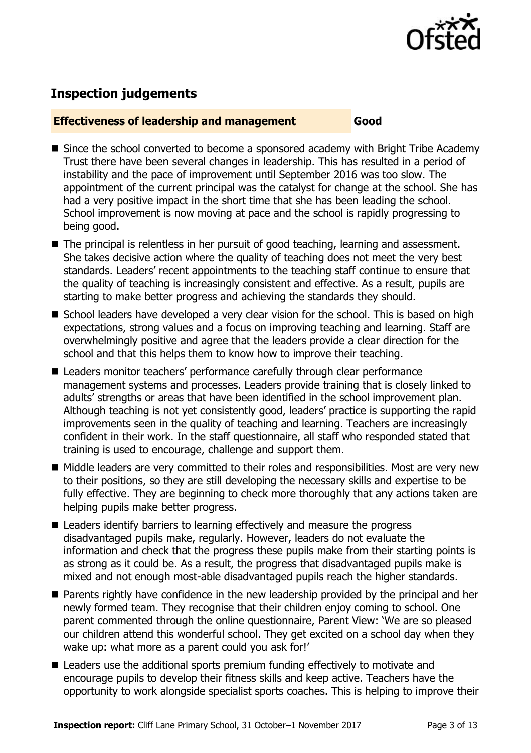

# **Inspection judgements**

### **Effectiveness of leadership and management Good**

- Since the school converted to become a sponsored academy with Bright Tribe Academy Trust there have been several changes in leadership. This has resulted in a period of instability and the pace of improvement until September 2016 was too slow. The appointment of the current principal was the catalyst for change at the school. She has had a very positive impact in the short time that she has been leading the school. School improvement is now moving at pace and the school is rapidly progressing to being good.
- The principal is relentless in her pursuit of good teaching, learning and assessment. She takes decisive action where the quality of teaching does not meet the very best standards. Leaders' recent appointments to the teaching staff continue to ensure that the quality of teaching is increasingly consistent and effective. As a result, pupils are starting to make better progress and achieving the standards they should.
- School leaders have developed a very clear vision for the school. This is based on high expectations, strong values and a focus on improving teaching and learning. Staff are overwhelmingly positive and agree that the leaders provide a clear direction for the school and that this helps them to know how to improve their teaching.
- Leaders monitor teachers' performance carefully through clear performance management systems and processes. Leaders provide training that is closely linked to adults' strengths or areas that have been identified in the school improvement plan. Although teaching is not yet consistently good, leaders' practice is supporting the rapid improvements seen in the quality of teaching and learning. Teachers are increasingly confident in their work. In the staff questionnaire, all staff who responded stated that training is used to encourage, challenge and support them.
- Middle leaders are very committed to their roles and responsibilities. Most are very new to their positions, so they are still developing the necessary skills and expertise to be fully effective. They are beginning to check more thoroughly that any actions taken are helping pupils make better progress.
- Leaders identify barriers to learning effectively and measure the progress disadvantaged pupils make, regularly. However, leaders do not evaluate the information and check that the progress these pupils make from their starting points is as strong as it could be. As a result, the progress that disadvantaged pupils make is mixed and not enough most-able disadvantaged pupils reach the higher standards.
- **Parents rightly have confidence in the new leadership provided by the principal and her** newly formed team. They recognise that their children enjoy coming to school. One parent commented through the online questionnaire, Parent View: 'We are so pleased our children attend this wonderful school. They get excited on a school day when they wake up: what more as a parent could you ask for!'
- Leaders use the additional sports premium funding effectively to motivate and encourage pupils to develop their fitness skills and keep active. Teachers have the opportunity to work alongside specialist sports coaches. This is helping to improve their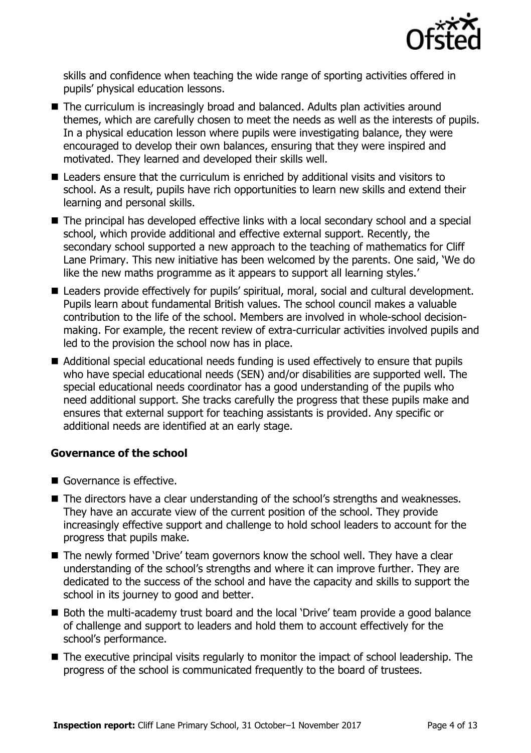

skills and confidence when teaching the wide range of sporting activities offered in pupils' physical education lessons.

- The curriculum is increasingly broad and balanced. Adults plan activities around themes, which are carefully chosen to meet the needs as well as the interests of pupils. In a physical education lesson where pupils were investigating balance, they were encouraged to develop their own balances, ensuring that they were inspired and motivated. They learned and developed their skills well.
- Leaders ensure that the curriculum is enriched by additional visits and visitors to school. As a result, pupils have rich opportunities to learn new skills and extend their learning and personal skills.
- The principal has developed effective links with a local secondary school and a special school, which provide additional and effective external support. Recently, the secondary school supported a new approach to the teaching of mathematics for Cliff Lane Primary. This new initiative has been welcomed by the parents. One said, 'We do like the new maths programme as it appears to support all learning styles.'
- Leaders provide effectively for pupils' spiritual, moral, social and cultural development. Pupils learn about fundamental British values. The school council makes a valuable contribution to the life of the school. Members are involved in whole-school decisionmaking. For example, the recent review of extra-curricular activities involved pupils and led to the provision the school now has in place.
- Additional special educational needs funding is used effectively to ensure that pupils who have special educational needs (SEN) and/or disabilities are supported well. The special educational needs coordinator has a good understanding of the pupils who need additional support. She tracks carefully the progress that these pupils make and ensures that external support for teaching assistants is provided. Any specific or additional needs are identified at an early stage.

### **Governance of the school**

- Governance is effective.
- The directors have a clear understanding of the school's strengths and weaknesses. They have an accurate view of the current position of the school. They provide increasingly effective support and challenge to hold school leaders to account for the progress that pupils make.
- The newly formed 'Drive' team governors know the school well. They have a clear understanding of the school's strengths and where it can improve further. They are dedicated to the success of the school and have the capacity and skills to support the school in its journey to good and better.
- Both the multi-academy trust board and the local 'Drive' team provide a good balance of challenge and support to leaders and hold them to account effectively for the school's performance.
- The executive principal visits regularly to monitor the impact of school leadership. The progress of the school is communicated frequently to the board of trustees.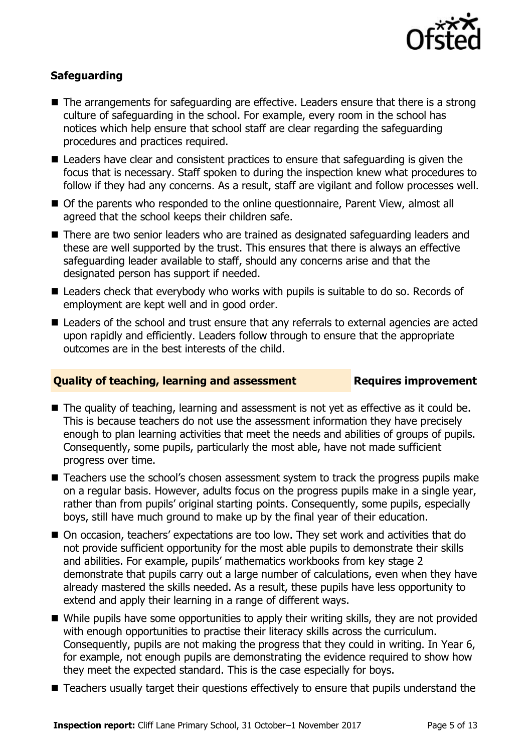

### **Safeguarding**

- The arrangements for safeguarding are effective. Leaders ensure that there is a strong culture of safeguarding in the school. For example, every room in the school has notices which help ensure that school staff are clear regarding the safeguarding procedures and practices required.
- Leaders have clear and consistent practices to ensure that safeguarding is given the focus that is necessary. Staff spoken to during the inspection knew what procedures to follow if they had any concerns. As a result, staff are vigilant and follow processes well.
- Of the parents who responded to the online questionnaire, Parent View, almost all agreed that the school keeps their children safe.
- There are two senior leaders who are trained as designated safeguarding leaders and these are well supported by the trust. This ensures that there is always an effective safeguarding leader available to staff, should any concerns arise and that the designated person has support if needed.
- Leaders check that everybody who works with pupils is suitable to do so. Records of employment are kept well and in good order.
- Leaders of the school and trust ensure that any referrals to external agencies are acted upon rapidly and efficiently. Leaders follow through to ensure that the appropriate outcomes are in the best interests of the child.

#### **Quality of teaching, learning and assessment Figures improvement**

- The quality of teaching, learning and assessment is not yet as effective as it could be. This is because teachers do not use the assessment information they have precisely enough to plan learning activities that meet the needs and abilities of groups of pupils. Consequently, some pupils, particularly the most able, have not made sufficient progress over time.
- Teachers use the school's chosen assessment system to track the progress pupils make on a regular basis. However, adults focus on the progress pupils make in a single year, rather than from pupils' original starting points. Consequently, some pupils, especially boys, still have much ground to make up by the final year of their education.
- On occasion, teachers' expectations are too low. They set work and activities that do not provide sufficient opportunity for the most able pupils to demonstrate their skills and abilities. For example, pupils' mathematics workbooks from key stage 2 demonstrate that pupils carry out a large number of calculations, even when they have already mastered the skills needed. As a result, these pupils have less opportunity to extend and apply their learning in a range of different ways.
- While pupils have some opportunities to apply their writing skills, they are not provided with enough opportunities to practise their literacy skills across the curriculum. Consequently, pupils are not making the progress that they could in writing. In Year 6, for example, not enough pupils are demonstrating the evidence required to show how they meet the expected standard. This is the case especially for boys.
- Teachers usually target their questions effectively to ensure that pupils understand the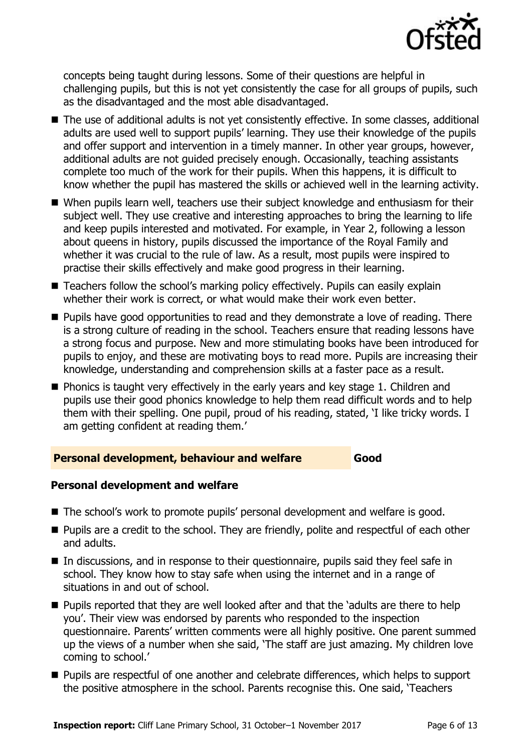

concepts being taught during lessons. Some of their questions are helpful in challenging pupils, but this is not yet consistently the case for all groups of pupils, such as the disadvantaged and the most able disadvantaged.

- The use of additional adults is not yet consistently effective. In some classes, additional adults are used well to support pupils' learning. They use their knowledge of the pupils and offer support and intervention in a timely manner. In other year groups, however, additional adults are not guided precisely enough. Occasionally, teaching assistants complete too much of the work for their pupils. When this happens, it is difficult to know whether the pupil has mastered the skills or achieved well in the learning activity.
- When pupils learn well, teachers use their subject knowledge and enthusiasm for their subject well. They use creative and interesting approaches to bring the learning to life and keep pupils interested and motivated. For example, in Year 2, following a lesson about queens in history, pupils discussed the importance of the Royal Family and whether it was crucial to the rule of law. As a result, most pupils were inspired to practise their skills effectively and make good progress in their learning.
- Teachers follow the school's marking policy effectively. Pupils can easily explain whether their work is correct, or what would make their work even better.
- **Pupils have good opportunities to read and they demonstrate a love of reading. There** is a strong culture of reading in the school. Teachers ensure that reading lessons have a strong focus and purpose. New and more stimulating books have been introduced for pupils to enjoy, and these are motivating boys to read more. Pupils are increasing their knowledge, understanding and comprehension skills at a faster pace as a result.
- **Phonics is taught very effectively in the early years and key stage 1. Children and** pupils use their good phonics knowledge to help them read difficult words and to help them with their spelling. One pupil, proud of his reading, stated, 'I like tricky words. I am getting confident at reading them.'

### **Personal development, behaviour and welfare Good**

### **Personal development and welfare**

- The school's work to promote pupils' personal development and welfare is good.
- **Pupils are a credit to the school. They are friendly, polite and respectful of each other** and adults.
- In discussions, and in response to their questionnaire, pupils said they feel safe in school. They know how to stay safe when using the internet and in a range of situations in and out of school.
- **Pupils reported that they are well looked after and that the 'adults are there to help** you'. Their view was endorsed by parents who responded to the inspection questionnaire. Parents' written comments were all highly positive. One parent summed up the views of a number when she said, 'The staff are just amazing. My children love coming to school.'
- **Pupils are respectful of one another and celebrate differences, which helps to support** the positive atmosphere in the school. Parents recognise this. One said, 'Teachers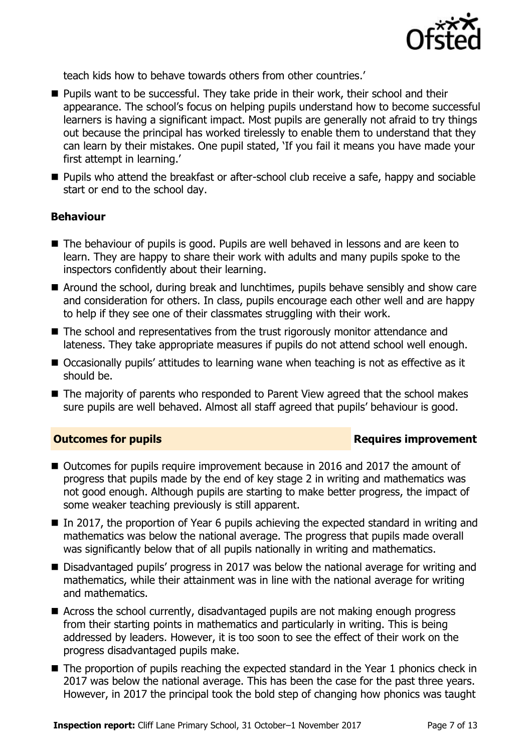

teach kids how to behave towards others from other countries.'

- **Pupils want to be successful. They take pride in their work, their school and their** appearance. The school's focus on helping pupils understand how to become successful learners is having a significant impact. Most pupils are generally not afraid to try things out because the principal has worked tirelessly to enable them to understand that they can learn by their mistakes. One pupil stated, 'If you fail it means you have made your first attempt in learning.'
- **Pupils who attend the breakfast or after-school club receive a safe, happy and sociable** start or end to the school day.

#### **Behaviour**

- The behaviour of pupils is good. Pupils are well behaved in lessons and are keen to learn. They are happy to share their work with adults and many pupils spoke to the inspectors confidently about their learning.
- Around the school, during break and lunchtimes, pupils behave sensibly and show care and consideration for others. In class, pupils encourage each other well and are happy to help if they see one of their classmates struggling with their work.
- The school and representatives from the trust rigorously monitor attendance and lateness. They take appropriate measures if pupils do not attend school well enough.
- Occasionally pupils' attitudes to learning wane when teaching is not as effective as it should be.
- The majority of parents who responded to Parent View agreed that the school makes sure pupils are well behaved. Almost all staff agreed that pupils' behaviour is good.

### **Outcomes for pupils Requires improvement**

- Outcomes for pupils require improvement because in 2016 and 2017 the amount of progress that pupils made by the end of key stage 2 in writing and mathematics was not good enough. Although pupils are starting to make better progress, the impact of some weaker teaching previously is still apparent.
- In 2017, the proportion of Year 6 pupils achieving the expected standard in writing and mathematics was below the national average. The progress that pupils made overall was significantly below that of all pupils nationally in writing and mathematics.
- Disadvantaged pupils' progress in 2017 was below the national average for writing and mathematics, while their attainment was in line with the national average for writing and mathematics.
- Across the school currently, disadvantaged pupils are not making enough progress from their starting points in mathematics and particularly in writing. This is being addressed by leaders. However, it is too soon to see the effect of their work on the progress disadvantaged pupils make.
- The proportion of pupils reaching the expected standard in the Year 1 phonics check in 2017 was below the national average. This has been the case for the past three years. However, in 2017 the principal took the bold step of changing how phonics was taught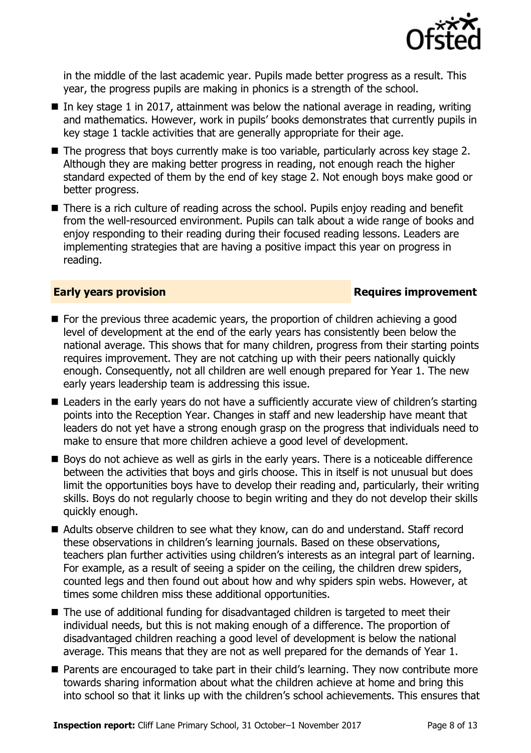

in the middle of the last academic year. Pupils made better progress as a result. This year, the progress pupils are making in phonics is a strength of the school.

- In key stage 1 in 2017, attainment was below the national average in reading, writing and mathematics. However, work in pupils' books demonstrates that currently pupils in key stage 1 tackle activities that are generally appropriate for their age.
- The progress that boys currently make is too variable, particularly across key stage 2. Although they are making better progress in reading, not enough reach the higher standard expected of them by the end of key stage 2. Not enough boys make good or better progress.
- There is a rich culture of reading across the school. Pupils enjoy reading and benefit from the well-resourced environment. Pupils can talk about a wide range of books and enjoy responding to their reading during their focused reading lessons. Leaders are implementing strategies that are having a positive impact this year on progress in reading.

#### **Early years provision Requires improvement**

- **For the previous three academic years, the proportion of children achieving a good** level of development at the end of the early years has consistently been below the national average. This shows that for many children, progress from their starting points requires improvement. They are not catching up with their peers nationally quickly enough. Consequently, not all children are well enough prepared for Year 1. The new early years leadership team is addressing this issue.
- Leaders in the early years do not have a sufficiently accurate view of children's starting points into the Reception Year. Changes in staff and new leadership have meant that leaders do not yet have a strong enough grasp on the progress that individuals need to make to ensure that more children achieve a good level of development.
- Boys do not achieve as well as girls in the early years. There is a noticeable difference between the activities that boys and girls choose. This in itself is not unusual but does limit the opportunities boys have to develop their reading and, particularly, their writing skills. Boys do not regularly choose to begin writing and they do not develop their skills quickly enough.
- Adults observe children to see what they know, can do and understand. Staff record these observations in children's learning journals. Based on these observations, teachers plan further activities using children's interests as an integral part of learning. For example, as a result of seeing a spider on the ceiling, the children drew spiders, counted legs and then found out about how and why spiders spin webs. However, at times some children miss these additional opportunities.
- The use of additional funding for disadvantaged children is targeted to meet their individual needs, but this is not making enough of a difference. The proportion of disadvantaged children reaching a good level of development is below the national average. This means that they are not as well prepared for the demands of Year 1.
- **Parents are encouraged to take part in their child's learning. They now contribute more** towards sharing information about what the children achieve at home and bring this into school so that it links up with the children's school achievements. This ensures that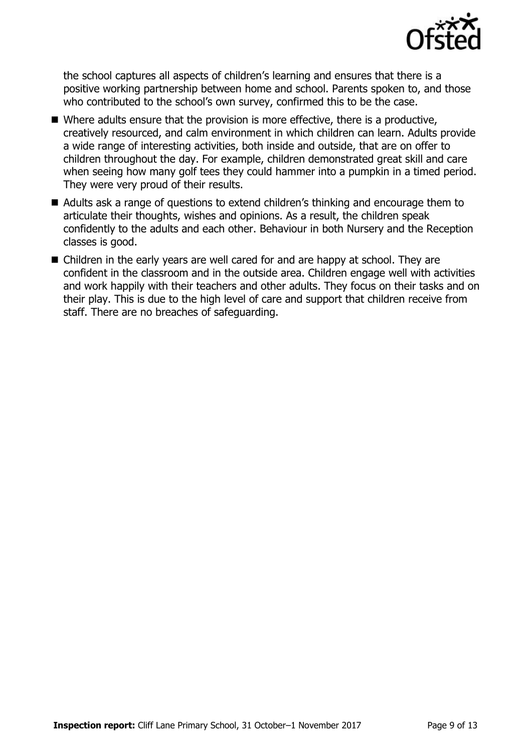

the school captures all aspects of children's learning and ensures that there is a positive working partnership between home and school. Parents spoken to, and those who contributed to the school's own survey, confirmed this to be the case.

- $\blacksquare$  Where adults ensure that the provision is more effective, there is a productive, creatively resourced, and calm environment in which children can learn. Adults provide a wide range of interesting activities, both inside and outside, that are on offer to children throughout the day. For example, children demonstrated great skill and care when seeing how many golf tees they could hammer into a pumpkin in a timed period. They were very proud of their results.
- Adults ask a range of questions to extend children's thinking and encourage them to articulate their thoughts, wishes and opinions. As a result, the children speak confidently to the adults and each other. Behaviour in both Nursery and the Reception classes is good.
- Children in the early years are well cared for and are happy at school. They are confident in the classroom and in the outside area. Children engage well with activities and work happily with their teachers and other adults. They focus on their tasks and on their play. This is due to the high level of care and support that children receive from staff. There are no breaches of safeguarding.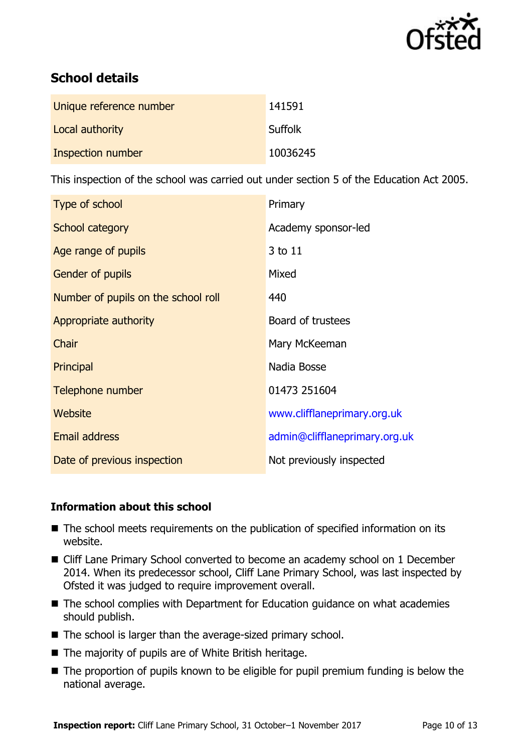

# **School details**

| Unique reference number | 141591   |
|-------------------------|----------|
| Local authority         | Suffolk  |
| Inspection number       | 10036245 |

This inspection of the school was carried out under section 5 of the Education Act 2005.

| Type of school                      | Primary                       |
|-------------------------------------|-------------------------------|
| School category                     | Academy sponsor-led           |
| Age range of pupils                 | 3 to 11                       |
| <b>Gender of pupils</b>             | Mixed                         |
| Number of pupils on the school roll | 440                           |
| Appropriate authority               | Board of trustees             |
| Chair                               | Mary McKeeman                 |
| Principal                           | Nadia Bosse                   |
| Telephone number                    | 01473 251604                  |
| Website                             | www.clifflaneprimary.org.uk   |
| Email address                       | admin@clifflaneprimary.org.uk |
| Date of previous inspection         | Not previously inspected      |

#### **Information about this school**

- The school meets requirements on the publication of specified information on its website.
- Cliff Lane Primary School converted to become an academy school on 1 December 2014. When its predecessor school, Cliff Lane Primary School, was last inspected by Ofsted it was judged to require improvement overall.
- The school complies with Department for Education guidance on what academies should publish.
- The school is larger than the average-sized primary school.
- The majority of pupils are of White British heritage.
- The proportion of pupils known to be eligible for pupil premium funding is below the national average.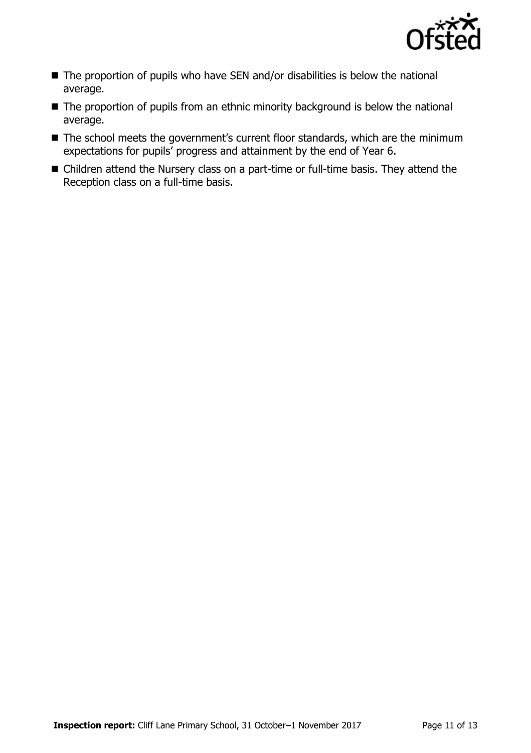

- The proportion of pupils who have SEN and/or disabilities is below the national average.
- The proportion of pupils from an ethnic minority background is below the national average.
- The school meets the government's current floor standards, which are the minimum expectations for pupils' progress and attainment by the end of Year 6.
- Children attend the Nursery class on a part-time or full-time basis. They attend the Reception class on a full-time basis.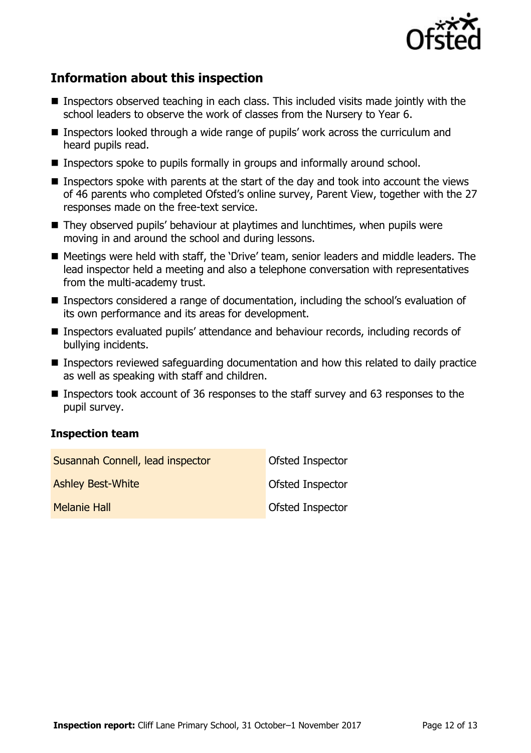

# **Information about this inspection**

- Inspectors observed teaching in each class. This included visits made jointly with the school leaders to observe the work of classes from the Nursery to Year 6.
- Inspectors looked through a wide range of pupils' work across the curriculum and heard pupils read.
- Inspectors spoke to pupils formally in groups and informally around school.
- Inspectors spoke with parents at the start of the day and took into account the views of 46 parents who completed Ofsted's online survey, Parent View, together with the 27 responses made on the free-text service.
- They observed pupils' behaviour at playtimes and lunchtimes, when pupils were moving in and around the school and during lessons.
- Meetings were held with staff, the 'Drive' team, senior leaders and middle leaders. The lead inspector held a meeting and also a telephone conversation with representatives from the multi-academy trust.
- Inspectors considered a range of documentation, including the school's evaluation of its own performance and its areas for development.
- Inspectors evaluated pupils' attendance and behaviour records, including records of bullying incidents.
- Inspectors reviewed safeguarding documentation and how this related to daily practice as well as speaking with staff and children.
- Inspectors took account of 36 responses to the staff survey and 63 responses to the pupil survey.

### **Inspection team**

| Susannah Connell, lead inspector | Ofsted Inspector |
|----------------------------------|------------------|
| <b>Ashley Best-White</b>         | Ofsted Inspector |
| <b>Melanie Hall</b>              | Ofsted Inspector |